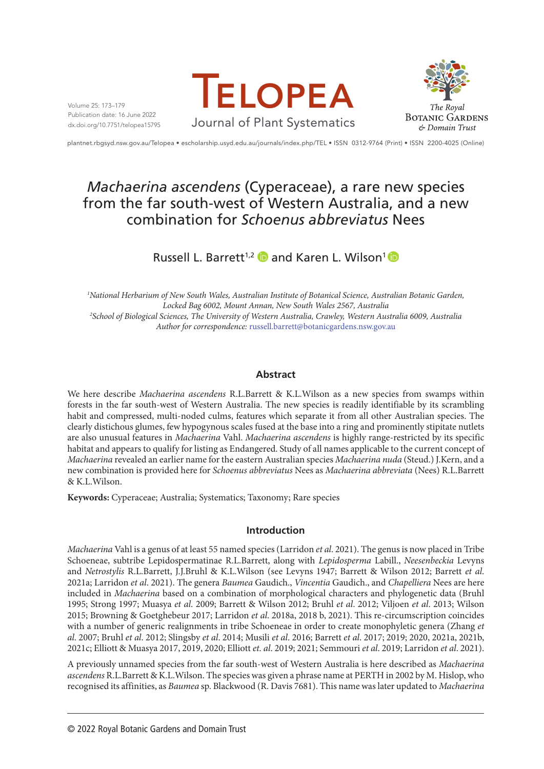Volume 25: 173–179 Publication date: 16 June 2022 dx.doi.org/10.7751/telopea15795





plantnet.rbgsyd.nsw.gov.au/Telopea • escholarship.usyd.edu.au/journals/index.php/TEL • ISSN 0312-9764 (Print) • ISSN 2200-4025 (Online)

# *Machaerina ascendens* (Cyperaceae), a rare new species from the far south-west of Western Australia, and a new combination for *Schoenus abbreviatus* Nees

## RussellL. Barrett<sup>1,2</sup> and Karen L. Wilson<sup>1</sup>

*1 National Herbarium of New South Wales, Australian Institute of Botanical Science, Australian Botanic Garden, Locked Bag 6002, Mount Annan, New South Wales 2567, Australia 2 School of Biological Sciences, The University of Western Australia, Crawley, Western Australia 6009, Australia Author for correspondence:* [russell.barrett@botanicgardens.nsw.gov.au](mailto:russell.barrett@botanicgardens.nsw.gov.au)

## **Abstract**

We here describe *Machaerina ascendens* R.L.Barrett & K.L.Wilson as a new species from swamps within forests in the far south-west of Western Australia. The new species is readily identifiable by its scrambling habit and compressed, multi-noded culms, features which separate it from all other Australian species. The clearly distichous glumes, few hypogynous scales fused at the base into a ring and prominently stipitate nutlets are also unusual features in *Machaerina* Vahl. *Machaerina ascendens* is highly range-restricted by its specific habitat and appears to qualify for listing as Endangered. Study of all names applicable to the current concept of *Machaerina* revealed an earlier name for the eastern Australian species *Machaerina nuda* (Steud.) J.Kern, and a new combination is provided here for *Schoenus abbreviatus* Nees as *Machaerina abbreviata* (Nees) R.L.Barrett & K.L.Wilson.

**Keywords:** Cyperaceae; Australia; Systematics; Taxonomy; Rare species

## **Introduction**

*Machaerina* Vahl is a genus of at least 55 named species (Larridon *et al*. 2021). The genus is now placed in Tribe Schoeneae, subtribe Lepidospermatinae R.L.Barrett, along with *Lepidosperma* Labill., *Neesenbeckia* Levyns and *Netrostylis* R.L.Barrett, J.J.Bruhl & K.L.Wilson (see Levyns 1947; Barrett & Wilson 2012; Barrett *et al*. 2021a; Larridon *et al*. 2021). The genera *Baumea* Gaudich., *Vincentia* Gaudich., and *Chapelliera* Nees are here included in *Machaerina* based on a combination of morphological characters and phylogenetic data (Bruhl 1995; Strong 1997; Muasya *et al*. 2009; Barrett & Wilson 2012; Bruhl *et al*. 2012; Viljoen *et al*. 2013; Wilson 2015; Browning & Goetghebeur 2017; Larridon *et al*. 2018a, 2018 b, 2021). This re-circumscription coincides with a number of generic realignments in tribe Schoeneae in order to create monophyletic genera (Zhang *et al*. 2007; Bruhl *et al*. 2012; Slingsby *et al*. 2014; Musili *et al*. 2016; Barrett *et al*. 2017; 2019; 2020, 2021a, 2021b, 2021c; Elliott & Muasya 2017, 2019, 2020; Elliott *et. al*. 2019; 2021; Semmouri *et al*. 2019; Larridon *et al*. 2021).

A previously unnamed species from the far south-west of Western Australia is here described as *Machaerina ascendens* R.L.Barrett & K.L.Wilson. The species was given a phrase name at PERTH in 2002 by M. Hislop, who recognised its affinities, as *Baumea* sp. Blackwood (R. Davis 7681). This name was later updated to *Machaerina*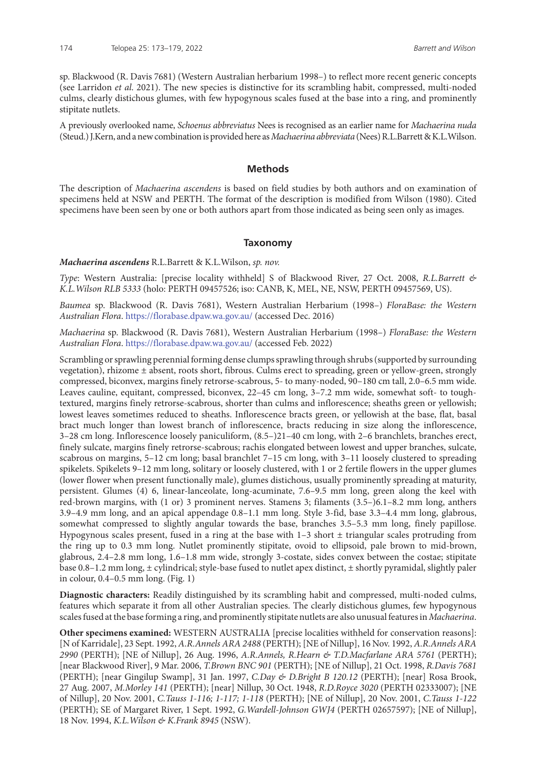sp. Blackwood (R. Davis 7681) (Western Australian herbarium 1998–) to reflect more recent generic concepts (see Larridon *et al*. 2021). The new species is distinctive for its scrambling habit, compressed, multi-noded culms, clearly distichous glumes, with few hypogynous scales fused at the base into a ring, and prominently stipitate nutlets.

A previously overlooked name, *Schoenus abbreviatus* Nees is recognised as an earlier name for *Machaerina nuda* (Steud.) J.Kern, and a new combination is provided here as *Machaerina abbreviata* (Nees) R.L.Barrett & K.L.Wilson.

#### **Methods**

The description of *Machaerina ascendens* is based on field studies by both authors and on examination of specimens held at NSW and PERTH. The format of the description is modified from Wilson (1980). Cited specimens have been seen by one or both authors apart from those indicated as being seen only as images.

#### **Taxonomy**

#### *Machaerina ascendens* R.L.Barrett & K.L.Wilson, *sp. nov.*

*Type*: Western Australia: [precise locality withheld] S of Blackwood River, 27 Oct. 2008, *R.L.Barrett & K.L.Wilson RLB 5333* (holo: PERTH 09457526; iso: CANB, K, MEL, NE, NSW, PERTH 09457569, US).

*Baumea* sp. Blackwood (R. Davis 7681), Western Australian Herbarium (1998–) *FloraBase: the Western Australian Flora*.<https://florabase.dpaw.wa.gov.au/> (accessed Dec. 2016)

*Machaerina* sp. Blackwood (R. Davis 7681), Western Australian Herbarium (1998–) *FloraBase: the Western Australian Flora*.<https://florabase.dpaw.wa.gov.au/> (accessed Feb. 2022)

Scrambling or sprawling perennial forming dense clumps sprawling through shrubs (supported by surrounding vegetation), rhizome ± absent, roots short, fibrous. Culms erect to spreading, green or yellow-green, strongly compressed, biconvex, margins finely retrorse-scabrous, 5- to many-noded, 90–180 cm tall, 2.0–6.5 mm wide. Leaves cauline, equitant, compressed, biconvex, 22–45 cm long, 3–7.2 mm wide, somewhat soft- to toughtextured, margins finely retrorse-scabrous, shorter than culms and inflorescence; sheaths green or yellowish; lowest leaves sometimes reduced to sheaths. Inflorescence bracts green, or yellowish at the base, flat, basal bract much longer than lowest branch of inflorescence, bracts reducing in size along the inflorescence, 3–28 cm long. Inflorescence loosely paniculiform, (8.5–)21–40 cm long, with 2–6 branchlets, branches erect, finely sulcate, margins finely retrorse-scabrous; rachis elongated between lowest and upper branches, sulcate, scabrous on margins, 5–12 cm long; basal branchlet 7–15 cm long, with 3–11 loosely clustered to spreading spikelets. Spikelets 9–12 mm long, solitary or loosely clustered, with 1 or 2 fertile flowers in the upper glumes (lower flower when present functionally male), glumes distichous, usually prominently spreading at maturity, persistent. Glumes (4) 6, linear-lanceolate, long-acuminate, 7.6–9.5 mm long, green along the keel with red-brown margins, with (1 or) 3 prominent nerves. Stamens 3; filaments (3.5–)6.1–8.2 mm long, anthers 3.9–4.9 mm long, and an apical appendage 0.8–1.1 mm long. Style 3-fid, base 3.3–4.4 mm long, glabrous, somewhat compressed to slightly angular towards the base, branches 3.5–5.3 mm long, finely papillose. Hypogynous scales present, fused in a ring at the base with  $1-3$  short  $\pm$  triangular scales protruding from the ring up to 0.3 mm long. Nutlet prominently stipitate, ovoid to ellipsoid, pale brown to mid-brown, glabrous, 2.4–2.8 mm long, 1.6–1.8 mm wide, strongly 3-costate, sides convex between the costae; stipitate base 0.8–1.2 mm long, ± cylindrical; style-base fused to nutlet apex distinct, ± shortly pyramidal, slightly paler in colour, 0.4–0.5 mm long. (Fig. 1)

**Diagnostic characters:** Readily distinguished by its scrambling habit and compressed, multi-noded culms, features which separate it from all other Australian species. The clearly distichous glumes, few hypogynous scales fused at the base forming a ring, and prominently stipitate nutlets are also unusual features in *Machaerina*.

**Other specimens examined:** WESTERN AUSTRALIA [precise localities withheld for conservation reasons]: [N of Karridale], 23 Sept. 1992, *A.R.Annels ARA 2488* (PERTH); [NE of Nillup], 16 Nov. 1992, *A.R.Annels ARA 2990* (PERTH); [NE of Nillup], 26 Aug. 1996, *A.R.Annels, R.Hearn & T.D.Macfarlane ARA 5761* (PERTH); [near Blackwood River], 9 Mar. 2006, *T.Brown BNC 901* (PERTH); [NE of Nillup], 21 Oct. 1998, *R.Davis 7681* (PERTH); [near Gingilup Swamp], 31 Jan. 1997, *C.Day & D.Bright B 120.12* (PERTH); [near] Rosa Brook, 27 Aug. 2007, *M.Morley 141* (PERTH); [near] Nillup, 30 Oct. 1948, *R.D.Royce 3020* (PERTH 02333007); [NE of Nillup], 20 Nov. 2001, *C.Tauss 1-116; 1-117; 1-118* (PERTH); [NE of Nillup], 20 Nov. 2001, *C.Tauss 1-122* (PERTH); SE of Margaret River, 1 Sept. 1992, *G.Wardell-Johnson GWJ4* (PERTH 02657597); [NE of Nillup], 18 Nov. 1994, *K.L.Wilson & K.Frank 8945* (NSW).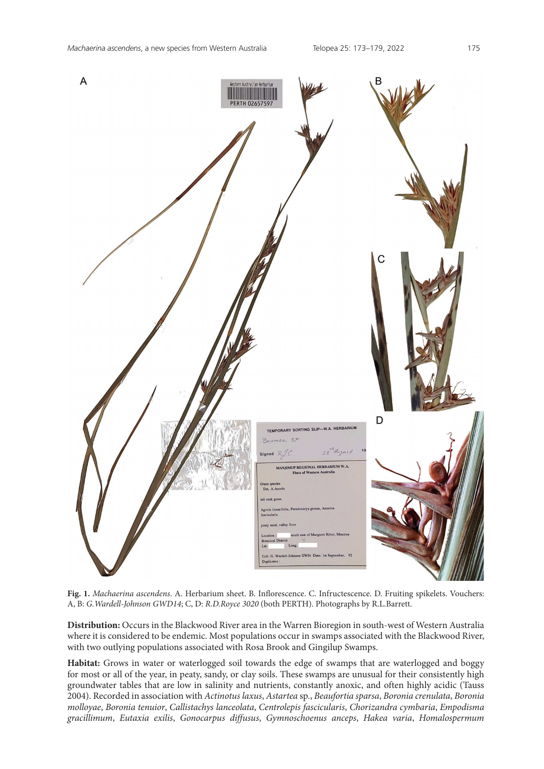

**Fig. 1.** *Machaerina ascendens*. A. Herbarium sheet. B. Inflorescence. C. Infructescence. D. Fruiting spikelets. Vouchers: A, B: *G.Wardell-Johnson GWD14*; C, D: *R.D.Royce 3020* (both PERTH). Photographs by R.L.Barrett.

**Distribution:** Occurs in the Blackwood River area in the Warren Bioregion in south-west of Western Australia where it is considered to be endemic. Most populations occur in swamps associated with the Blackwood River, with two outlying populations associated with Rosa Brook and Gingilup Swamps.

**Habitat:** Grows in water or waterlogged soil towards the edge of swamps that are waterlogged and boggy for most or all of the year, in peaty, sandy, or clay soils. These swamps are unusual for their consistently high groundwater tables that are low in salinity and nutrients, constantly anoxic, and often highly acidic (Tauss 2004). Recorded in association with *Actinotus laxus*, *Astartea* sp., *Beaufortia sparsa*, *Boronia crenulata*, *Boronia molloyae*, *Boronia tenuior*, *Callistachys lanceolata*, *Centrolepis fascicularis*, *Chorizandra cymbaria*, *Empodisma gracillimum*, *Eutaxia exilis*, *Gonocarpus diffusus*, *Gymnoschoenus anceps*, *Hakea varia*, *Homalospermum*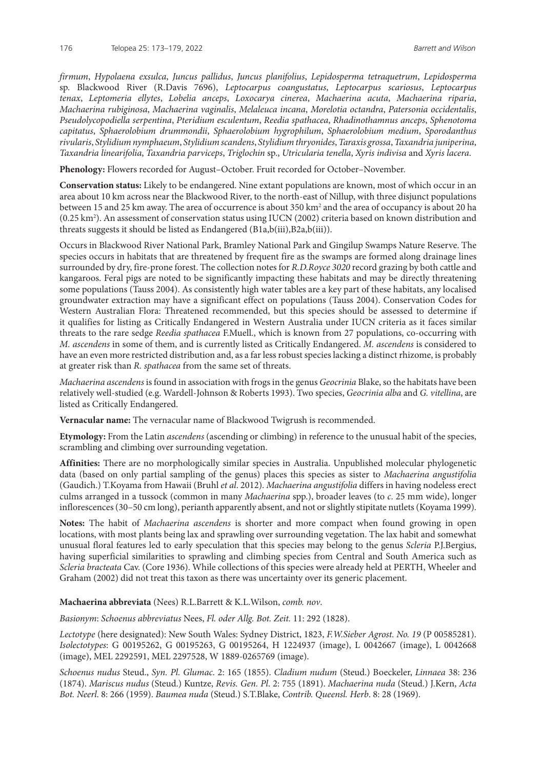*firmum*, *Hypolaena exsulca*, *Juncus pallidus*, *Juncus planifolius*, *Lepidosperma tetraquetrum*, *Lepidosperma* sp. Blackwood River (R.Davis 7696), *Leptocarpus coangustatus*, *Leptocarpus scariosus*, *Leptocarpus tenax*, *Leptomeria ellytes*, *Lobelia anceps*, *Loxocarya cinerea*, *Machaerina acuta*, *Machaerina riparia*, *Machaerina rubiginosa*, *Machaerina vaginalis*, *Melaleuca incana*, *Morelotia octandra*, *Patersonia occidentalis*, *Pseudolycopodiella serpentina*, *Pteridium esculentum*, *Reedia spathacea*, *Rhadinothamnus anceps*, *Sphenotoma capitatus*, *Sphaerolobium drummondii*, *Sphaerolobium hygrophilum*, *Sphaerolobium medium*, *Sporodanthus rivularis*, *Stylidium nymphaeum*, *Stylidium scandens*, *Stylidium thryonides*, *Taraxis grossa*, *Taxandria juniperina*, *Taxandria linearifolia*, *Taxandria parviceps*, *Triglochin* sp., *Utricularia tenella*, *Xyris indivisa* and *Xyris lacera*.

**Phenology:** Flowers recorded for August–October. Fruit recorded for October–November.

**Conservation status:** Likely to be endangered. Nine extant populations are known, most of which occur in an area about 10 km across near the Blackwood River, to the north-east of Nillup, with three disjunct populations between 15 and 25 km away. The area of occurrence is about 350 km<sup>2</sup> and the area of occupancy is about 20 ha (0.25 km2 ). An assessment of conservation status using IUCN (2002) criteria based on known distribution and threats suggests it should be listed as Endangered (B1a,b(iii),B2a,b(iii)).

Occurs in Blackwood River National Park, Bramley National Park and Gingilup Swamps Nature Reserve. The species occurs in habitats that are threatened by frequent fire as the swamps are formed along drainage lines surrounded by dry, fire-prone forest. The collection notes for *R.D.Royce 3020* record grazing by both cattle and kangaroos. Feral pigs are noted to be significantly impacting these habitats and may be directly threatening some populations (Tauss 2004). As consistently high water tables are a key part of these habitats, any localised groundwater extraction may have a significant effect on populations (Tauss 2004). Conservation Codes for Western Australian Flora: Threatened recommended, but this species should be assessed to determine if it qualifies for listing as Critically Endangered in Western Australia under IUCN criteria as it faces similar threats to the rare sedge *Reedia spathacea* F.Muell., which is known from 27 populations, co-occurring with *M. ascendens* in some of them, and is currently listed as Critically Endangered. *M. ascendens* is considered to have an even more restricted distribution and, as a far less robust species lacking a distinct rhizome, is probably at greater risk than *R. spathacea* from the same set of threats.

*Machaerina ascendens* is found in association with frogs in the genus *Geocrinia* Blake, so the habitats have been relatively well-studied (e.g. Wardell-Johnson & Roberts 1993). Two species, *Geocrinia alba* and *G. vitellina*, are listed as Critically Endangered.

**Vernacular name:** The vernacular name of Blackwood Twigrush is recommended.

**Etymology:** From the Latin *ascendens* (ascending or climbing) in reference to the unusual habit of the species, scrambling and climbing over surrounding vegetation.

**Affinities:** There are no morphologically similar species in Australia. Unpublished molecular phylogenetic data (based on only partial sampling of the genus) places this species as sister to *Machaerina angustifolia* (Gaudich.) T.Koyama from Hawaii (Bruhl *et al*. 2012). *Machaerina angustifolia* differs in having nodeless erect culms arranged in a tussock (common in many *Machaerina* spp.), broader leaves (to *c*. 25 mm wide), longer inflorescences (30–50 cm long), perianth apparently absent, and not or slightly stipitate nutlets (Koyama 1999).

**Notes:** The habit of *Machaerina ascendens* is shorter and more compact when found growing in open locations, with most plants being lax and sprawling over surrounding vegetation. The lax habit and somewhat unusual floral features led to early speculation that this species may belong to the genus *Scleria* P.J.Bergius, having superficial similarities to sprawling and climbing species from Central and South America such as *Scleria bracteata* Cav. (Core 1936). While collections of this species were already held at PERTH, Wheeler and Graham (2002) did not treat this taxon as there was uncertainty over its generic placement.

**Machaerina abbreviata** (Nees) R.L.Barrett & K.L.Wilson, *comb. nov*.

*Basionym*: *Schoenus abbreviatus* Nees, *Fl. oder Allg. Bot. Zeit.* 11: 292 (1828).

*Lectotype* (here designated): New South Wales: Sydney District, 1823, *F.W.Sieber Agrost. No. 19* (P 00585281). *Isolectotypes*: G 00195262, G 00195263, G 00195264, H 1224937 (image), L 0042667 (image), L 0042668 (image), MEL 2292591, MEL 2297528, W 1889-0265769 (image).

*Schoenus nudus* Steud., *Syn. Pl. Glumac*. 2: 165 (1855). *Cladium nudum* (Steud.) Boeckeler, *Linnaea* 38: 236 (1874). *Mariscus nudus* (Steud.) Kuntze, *Revis. Gen. Pl*. 2: 755 (1891). *Machaerina nuda* (Steud.) J.Kern, *Acta Bot. Neerl*. 8: 266 (1959). *Baumea nuda* (Steud.) S.T.Blake, *Contrib. Queensl. Herb*. 8: 28 (1969).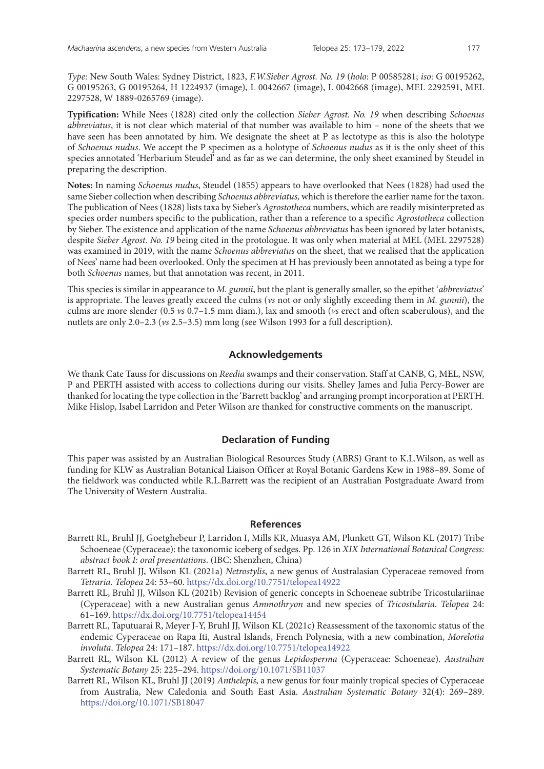*Type*: New South Wales: Sydney District, 1823, *F.W.Sieber Agrost. No. 19* (*holo*: P 00585281; *iso*: G 00195262, G 00195263, G 00195264, H 1224937 (image), L 0042667 (image), L 0042668 (image), MEL 2292591, MEL 2297528, W 1889-0265769 (image).

**Typification:** While Nees (1828) cited only the collection *Sieber Agrost. No. 19* when describing *Schoenus abbreviatus*, it is not clear which material of that number was available to him – none of the sheets that we have seen has been annotated by him. We designate the sheet at P as lectotype as this is also the holotype of *Schoenus nudus*. We accept the P specimen as a holotype of *Schoenus nudus* as it is the only sheet of this species annotated 'Herbarium Steudel' and as far as we can determine, the only sheet examined by Steudel in preparing the description.

**Notes:** In naming *Schoenus nudus*, Steudel (1855) appears to have overlooked that Nees (1828) had used the same Sieber collection when describing *Schoenus abbreviatus,* which is therefore the earlier name for the taxon. The publication of Nees (1828) lists taxa by Sieber's *Agrostotheca* numbers, which are readily misinterpreted as species order numbers specific to the publication, rather than a reference to a specific *Agrostotheca* collection by Sieber. The existence and application of the name *Schoenus abbreviatus* has been ignored by later botanists, despite *Sieber Agrost. No. 19* being cited in the protologue. It was only when material at MEL (MEL 2297528) was examined in 2019, with the name *Schoenus abbreviatus* on the sheet, that we realised that the application of Nees' name had been overlooked. Only the specimen at H has previously been annotated as being a type for both *Schoenus* names, but that annotation was recent, in 2011.

This species is similar in appearance to *M. gunnii*, but the plant is generally smaller, so the epithet '*abbreviatus*' is appropriate. The leaves greatly exceed the culms (*vs* not or only slightly exceeding them in *M. gunnii*), the culms are more slender (0.5 *vs* 0.7–1.5 mm diam.), lax and smooth (*vs* erect and often scaberulous), and the nutlets are only 2.0–2.3 (*vs* 2.5–3.5) mm long (see Wilson 1993 for a full description).

### **Acknowledgements**

We thank Cate Tauss for discussions on *Reedia* swamps and their conservation. Staff at CANB, G, MEL, NSW, P and PERTH assisted with access to collections during our visits. Shelley James and Julia Percy-Bower are thanked for locating the type collection in the 'Barrett backlog' and arranging prompt incorporation at PERTH. Mike Hislop, Isabel Larridon and Peter Wilson are thanked for constructive comments on the manuscript.

#### **Declaration of Funding**

This paper was assisted by an Australian Biological Resources Study (ABRS) Grant to K.L.Wilson, as well as funding for KLW as Australian Botanical Liaison Officer at Royal Botanic Gardens Kew in 1988–89. Some of the fieldwork was conducted while R.L.Barrett was the recipient of an Australian Postgraduate Award from The University of Western Australia.

#### **References**

- Barrett RL, Bruhl JJ, Goetghebeur P, Larridon I, Mills KR, Muasya AM, Plunkett GT, Wilson KL (2017) Tribe Schoeneae (Cyperaceae): the taxonomic iceberg of sedges. Pp. 126 in *XIX International Botanical Congress: abstract book I: oral presentations*. (IBC: Shenzhen, China)
- Barrett RL, Bruhl JJ, Wilson KL (2021a) *Netrostylis*, a new genus of Australasian Cyperaceae removed from *Tetraria*. *Telopea* 24: 53–60.<https://dx.doi.org/10.7751/telopea14922>
- Barrett RL, Bruhl JJ, Wilson KL (2021b) Revision of generic concepts in Schoeneae subtribe Tricostulariinae (Cyperaceae) with a new Australian genus *Ammothryon* and new species of *Tricostularia*. *Telopea* 24: 61–169.<https://dx.doi.org/10.7751/telopea14454>
- Barrett RL, Taputuarai R, Meyer J-Y, Bruhl JJ, Wilson KL (2021c) Reassessment of the taxonomic status of the endemic Cyperaceae on Rapa Iti, Austral Islands, French Polynesia, with a new combination, *Morelotia involuta*. *Telopea* 24: 171–187.<https://dx.doi.org/10.7751/telopea14922>
- Barrett RL, Wilson KL (2012) A review of the genus *Lepidosperma* (Cyperaceae: Schoeneae). *Australian Systematic Botany* 25: 225–294.<https://doi.org/10.1071/SB11037>
- Barrett RL, Wilson KL, Bruhl JJ (2019) *Anthelepis*, a new genus for four mainly tropical species of Cyperaceae from Australia, New Caledonia and South East Asia. *Australian Systematic Botany* 32(4): 269–289. <https://doi.org/10.1071/SB18047>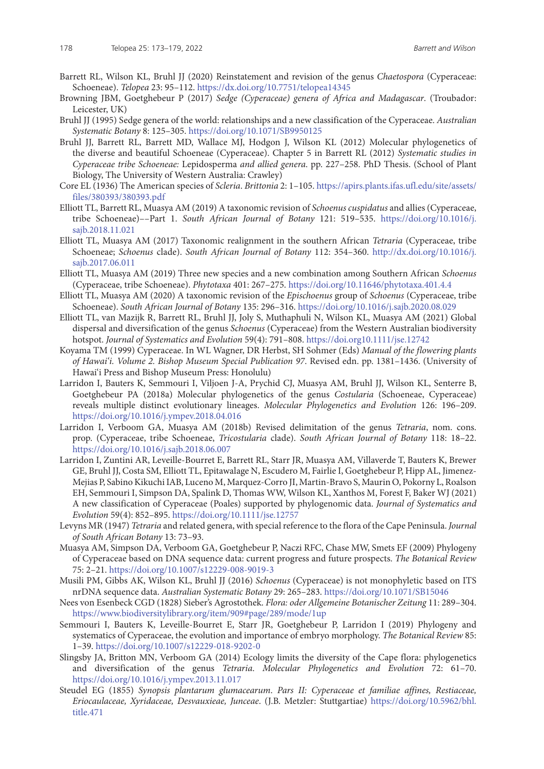- Barrett RL, Wilson KL, Bruhl JJ (2020) Reinstatement and revision of the genus *Chaetospora* (Cyperaceae: Schoeneae). *Telopea* 23: 95–112. <https://dx.doi.org/10.7751/telopea14345>
- Browning JBM, Goetghebeur P (2017) *Sedge (Cyperaceae) genera of Africa and Madagascar*. (Troubador: Leicester, UK)
- Bruhl JJ (1995) Sedge genera of the world: relationships and a new classification of the Cyperaceae. *Australian Systematic Botany* 8: 125–305. <https://doi.org/10.1071/SB9950125>
- Bruhl JJ, Barrett RL, Barrett MD, Wallace MJ, Hodgon J, Wilson KL (2012) Molecular phylogenetics of the diverse and beautiful Schoeneae (Cyperaceae). Chapter 5 in Barrett RL (2012) *Systematic studies in Cyperaceae tribe Schoeneae:* Lepidosperma *and allied genera*. pp. 227–258. PhD Thesis. (School of Plant Biology, The University of Western Australia: Crawley)
- Core EL (1936) The American species of *Scleria*. *Brittonia* 2: 1–105. [https://apirs.plants.ifas.ufl.edu/site/assets/](https://apirs.plants.ifas.ufl.edu/site/assets/files/380393/380393.pdf) [files/380393/380393.pdf](https://apirs.plants.ifas.ufl.edu/site/assets/files/380393/380393.pdf)
- Elliott TL, Barrett RL, Muasya AM (2019) A taxonomic revision of *Schoenus cuspidatus* and allies (Cyperaceae, tribe Schoeneae)––Part 1. *South African Journal of Botany* 121: 519–535. https://doi.org/10.1016/j. sajb.2018.11.021
- Elliott TL, Muasya AM (2017) Taxonomic realignment in the southern African *Tetraria* (Cyperaceae, tribe Schoeneae; *Schoenus* clade). *South African Journal of Botany* 112: 354–360. [http://dx.doi.org/10.1016/j.](http://dx.doi.org/10.1016/j.sajb.2017.06.011) [sajb.2017.06.011](http://dx.doi.org/10.1016/j.sajb.2017.06.011)
- Elliott TL, Muasya AM (2019) Three new species and a new combination among Southern African *Schoenus*  (Cyperaceae, tribe Schoeneae). *Phytotaxa* 401: 267–275. <https://doi.org/10.11646/phytotaxa.401.4.4>
- Elliott TL, Muasya AM (2020) A taxonomic revision of the *Epischoenus* group of *Schoenus* (Cyperaceae, tribe Schoeneae). *South African Journal of Botany* 135: 296–316.<https://doi.org/10.1016/j.sajb.2020.08.029>
- Elliott TL, van Mazijk R, Barrett RL, Bruhl JJ, Joly S, Muthaphuli N, Wilson KL, Muasya AM (2021) Global dispersal and diversification of the genus *Schoenus* (Cyperaceae) from the Western Australian biodiversity hotspot. *Journal of Systematics and Evolution* 59(4): 791–808.<https://doi.org10.1111/jse.12742>
- Koyama TM (1999) Cyperaceae. In WL Wagner, DR Herbst, SH Sohmer (Eds) *Manual of the flowering plants of Hawai'i. Volume 2. Bishop Museum Special Publication 97*. Revised edn. pp. 1381–1436. (University of Hawai'i Press and Bishop Museum Press: Honolulu)
- Larridon I, Bauters K, Semmouri I, Viljoen J-A, Prychid CJ, Muasya AM, Bruhl JJ, Wilson KL, Senterre B, Goetghebeur PA (2018a) Molecular phylogenetics of the genus *Costularia* (Schoeneae, Cyperaceae) reveals multiple distinct evolutionary lineages. *Molecular Phylogenetics and Evolution* 126: 196–209. <https://doi.org/10.1016/j.ympev.2018.04.016>
- Larridon I, Verboom GA, Muasya AM (2018b) Revised delimitation of the genus *Tetraria*, nom. cons. prop. (Cyperaceae, tribe Schoeneae, *Tricostularia* clade). *South African Journal of Botany* 118: 18–22. <https://doi.org/10.1016/j.sajb.2018.06.007>
- Larridon I, Zuntini AR, Leveille-Bourret E, Barrett RL, Starr JR, Muasya AM, Villaverde T, Bauters K, Brewer GE, Bruhl JJ, Costa SM, Elliott TL, Epitawalage N, Escudero M, Fairlie I, Goetghebeur P, Hipp AL, Jimenez-Mejias P, Sabino Kikuchi IAB, Luceno M, Marquez-Corro JI, Martin-Bravo S, Maurin O, Pokorny L, Roalson EH, Semmouri I, Simpson DA, Spalink D, Thomas WW, Wilson KL, Xanthos M, Forest F, Baker WJ (2021) A new classification of Cyperaceae (Poales) supported by phylogenomic data. *Journal of Systematics and Evolution* 59(4): 852–895. <https://doi.org/10.1111/jse.12757>
- Levyns MR (1947) *Tetraria* and related genera, with special reference to the flora of the Cape Peninsula. *Journal of South African Botany* 13: 73–93.
- Muasya AM, Simpson DA, Verboom GA, Goetghebeur P, Naczi RFC, Chase MW, Smets EF (2009) Phylogeny of Cyperaceae based on DNA sequence data: current progress and future prospects. *The Botanical Review*  75: 2–21. <https://doi.org/10.1007/s12229-008-9019-3>
- Musili PM, Gibbs AK, Wilson KL, Bruhl JJ (2016) *Schoenus* (Cyperaceae) is not monophyletic based on ITS nrDNA sequence data. *Australian Systematic Botany* 29: 265–283. <https://doi.org/10.1071/SB15046>
- Nees von Esenbeck CGD (1828) Sieber's Agrostothek. *Flora: oder Allgemeine Botanischer Zeitung* 11: 289–304. <https://www.biodiversitylibrary.org/item/909#page/289/mode/1up>
- Semmouri I, Bauters K, Leveille-Bourret E, Starr JR, Goetghebeur P, Larridon I (2019) Phylogeny and systematics of Cyperaceae, the evolution and importance of embryo morphology. *The Botanical Review* 85: 1–39. <https://doi.org/10.1007/s12229-018-9202-0>
- Slingsby JA, Britton MN, Verboom GA (2014) Ecology limits the diversity of the Cape flora: phylogenetics and diversification of the genus *Tetraria*. *Molecular Phylogenetics and Evolution* 72: 61–70. <https://doi.org/10.1016/j.ympev.2013.11.017>
- Steudel EG (1855) *Synopsis plantarum glumacearum*. *Pars II: Cyperaceae et familiae affines, Restiaceae, Eriocaulaceae, Xyridaceae, Desvauxieae, Junceae*. (J.B. Metzler: Stuttgartiae) [https://doi.org/10.5962/bhl.](https://doi.org/10.5962/bhl.title.471) [title.471](https://doi.org/10.5962/bhl.title.471)